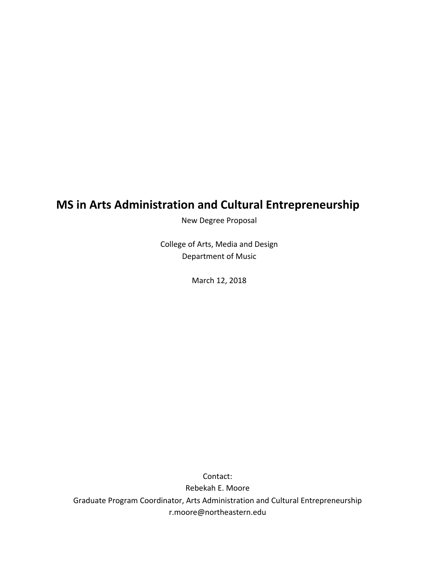# **MS in Arts Administration and Cultural Entrepreneurship**

New Degree Proposal

College of Arts, Media and Design Department of Music

March 12, 2018

Contact: Rebekah E. Moore Graduate Program Coordinator, Arts Administration and Cultural Entrepreneurship r.moore@northeastern.edu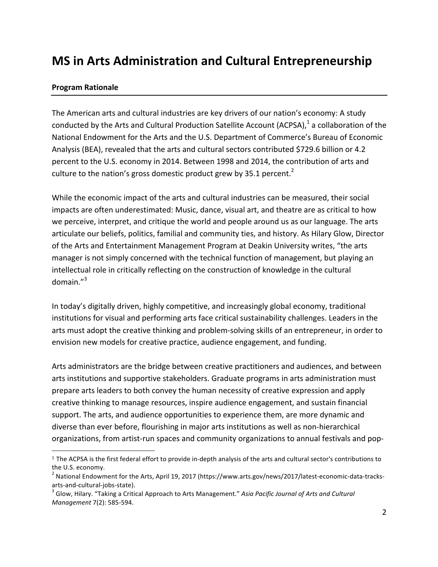# **MS in Arts Administration and Cultural Entrepreneurship**

#### **Program Rationale**

The American arts and cultural industries are key drivers of our nation's economy: A study conducted by the Arts and Cultural Production Satellite Account (ACPSA), $<sup>1</sup>$  a collaboration of the</sup> National Endowment for the Arts and the U.S. Department of Commerce's Bureau of Economic Analysis (BEA), revealed that the arts and cultural sectors contributed \$729.6 billion or 4.2 percent to the U.S. economy in 2014. Between 1998 and 2014, the contribution of arts and culture to the nation's gross domestic product grew by 35.1 percent.<sup>2</sup>

While the economic impact of the arts and cultural industries can be measured, their social impacts are often underestimated: Music, dance, visual art, and theatre are as critical to how we perceive, interpret, and critique the world and people around us as our language. The arts articulate our beliefs, politics, familial and community ties, and history. As Hilary Glow, Director of the Arts and Entertainment Management Program at Deakin University writes, "the arts manager is not simply concerned with the technical function of management, but playing an intellectual role in critically reflecting on the construction of knowledge in the cultural domain." 3

In today's digitally driven, highly competitive, and increasingly global economy, traditional institutions for visual and performing arts face critical sustainability challenges. Leaders in the arts must adopt the creative thinking and problem-solving skills of an entrepreneur, in order to envision new models for creative practice, audience engagement, and funding.

Arts administrators are the bridge between creative practitioners and audiences, and between arts institutions and supportive stakeholders. Graduate programs in arts administration must prepare arts leaders to both convey the human necessity of creative expression and apply creative thinking to manage resources, inspire audience engagement, and sustain financial support. The arts, and audience opportunities to experience them, are more dynamic and diverse than ever before, flourishing in major arts institutions as well as non-hierarchical organizations, from artist-run spaces and community organizations to annual festivals and pop-

 $1$  The ACPSA is the first federal effort to provide in-depth analysis of the arts and cultural sector's contributions to the U.S. economy.

 $^2$  National Endowment for the Arts, April 19, 2017 (https://www.arts.gov/news/2017/latest-economic-data-tracksarts-and-cultural-jobs-state).<br><sup>3</sup> Glow, Hilary. "Taking a Critical Approach to Arts Management." *Asia Pacific Journal of Arts and Cultural* 

*Management* 7(2): 585-594.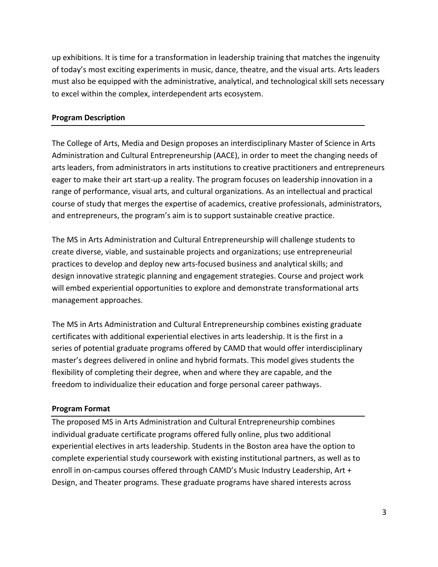up exhibitions. It is time for a transformation in leadership training that matches the ingenuity of today's most exciting experiments in music, dance, theatre, and the visual arts. Arts leaders must also be equipped with the administrative, analytical, and technological skill sets necessary to excel within the complex, interdependent arts ecosystem.

#### **Program Description**

The College of Arts, Media and Design proposes an interdisciplinary Master of Science in Arts Administration and Cultural Entrepreneurship (AACE), in order to meet the changing needs of arts leaders, from administrators in arts institutions to creative practitioners and entrepreneurs eager to make their art start-up a reality. The program focuses on leadership innovation in a range of performance, visual arts, and cultural organizations. As an intellectual and practical course of study that merges the expertise of academics, creative professionals, administrators, and entrepreneurs, the program's aim is to support sustainable creative practice.

The MS in Arts Administration and Cultural Entrepreneurship will challenge students to create diverse, viable, and sustainable projects and organizations; use entrepreneurial practices to develop and deploy new arts-focused business and analytical skills; and design innovative strategic planning and engagement strategies. Course and project work will embed experiential opportunities to explore and demonstrate transformational arts management approaches.

The MS in Arts Administration and Cultural Entrepreneurship combines existing graduate certificates with additional experiential electives in arts leadership. It is the first in a series of potential graduate programs offered by CAMD that would offer interdisciplinary master's degrees delivered in online and hybrid formats. This model gives students the flexibility of completing their degree, when and where they are capable, and the freedom to individualize their education and forge personal career pathways.

#### **Program Format**

The proposed MS in Arts Administration and Cultural Entrepreneurship combines individual graduate certificate programs offered fully online, plus two additional experiential electives in arts leadership. Students in the Boston area have the option to complete experiential study coursework with existing institutional partners, as well as to enroll in on-campus courses offered through CAMD's Music Industry Leadership, Art + Design, and Theater programs. These graduate programs have shared interests across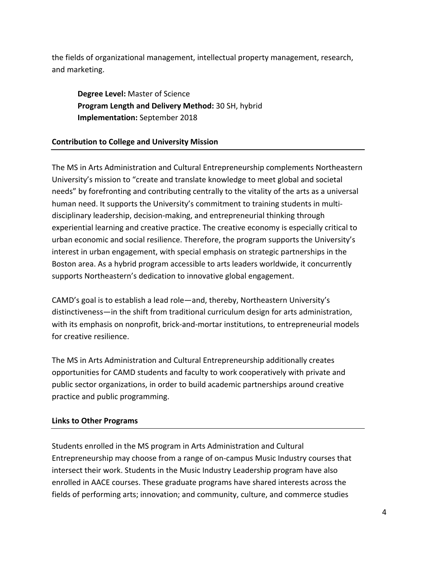the fields of organizational management, intellectual property management, research, and marketing. 

**Degree Level:** Master of Science **Program Length and Delivery Method:** 30 SH, hybrid **Implementation:** September 2018

## **Contribution to College and University Mission**

The MS in Arts Administration and Cultural Entrepreneurship complements Northeastern University's mission to "create and translate knowledge to meet global and societal needs" by forefronting and contributing centrally to the vitality of the arts as a universal human need. It supports the University's commitment to training students in multidisciplinary leadership, decision-making, and entrepreneurial thinking through experiential learning and creative practice. The creative economy is especially critical to urban economic and social resilience. Therefore, the program supports the University's interest in urban engagement, with special emphasis on strategic partnerships in the Boston area. As a hybrid program accessible to arts leaders worldwide, it concurrently supports Northeastern's dedication to innovative global engagement.

CAMD's goal is to establish a lead role—and, thereby, Northeastern University's distinctiveness—in the shift from traditional curriculum design for arts administration, with its emphasis on nonprofit, brick-and-mortar institutions, to entrepreneurial models for creative resilience.

The MS in Arts Administration and Cultural Entrepreneurship additionally creates opportunities for CAMD students and faculty to work cooperatively with private and public sector organizations, in order to build academic partnerships around creative practice and public programming.

## **Links to Other Programs**

Students enrolled in the MS program in Arts Administration and Cultural Entrepreneurship may choose from a range of on-campus Music Industry courses that intersect their work. Students in the Music Industry Leadership program have also enrolled in AACE courses. These graduate programs have shared interests across the fields of performing arts; innovation; and community, culture, and commerce studies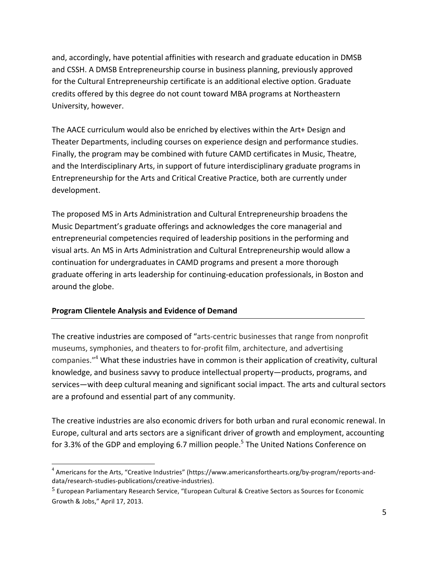and, accordingly, have potential affinities with research and graduate education in DMSB and CSSH. A DMSB Entrepreneurship course in business planning, previously approved for the Cultural Entrepreneurship certificate is an additional elective option. Graduate credits offered by this degree do not count toward MBA programs at Northeastern University, however.

The AACE curriculum would also be enriched by electives within the Art+ Design and Theater Departments, including courses on experience design and performance studies. Finally, the program may be combined with future CAMD certificates in Music, Theatre, and the Interdisciplinary Arts, in support of future interdisciplinary graduate programs in Entrepreneurship for the Arts and Critical Creative Practice, both are currently under development. 

The proposed MS in Arts Administration and Cultural Entrepreneurship broadens the Music Department's graduate offerings and acknowledges the core managerial and entrepreneurial competencies required of leadership positions in the performing and visual arts. An MS in Arts Administration and Cultural Entrepreneurship would allow a continuation for undergraduates in CAMD programs and present a more thorough graduate offering in arts leadership for continuing-education professionals, in Boston and around the globe.

## **Program Clientele Analysis and Evidence of Demand**

The creative industries are composed of "arts-centric businesses that range from nonprofit museums, symphonies, and theaters to for-profit film, architecture, and advertising companies."<sup>4</sup> What these industries have in common is their application of creativity, cultural knowledge, and business savvy to produce intellectual property—products, programs, and services—with deep cultural meaning and significant social impact. The arts and cultural sectors are a profound and essential part of any community.

The creative industries are also economic drivers for both urban and rural economic renewal. In Europe, cultural and arts sectors are a significant driver of growth and employment, accounting for 3.3% of the GDP and employing 6.7 million people.<sup>5</sup> The United Nations Conference on

 $4$  Americans for the Arts, "Creative Industries" (https://www.americansforthearts.org/by-program/reports-anddata/research-studies-publications/creative-industries). 

<sup>&</sup>lt;sup>5</sup> European Parliamentary Research Service, "European Cultural & Creative Sectors as Sources for Economic Growth & Jobs," April 17, 2013.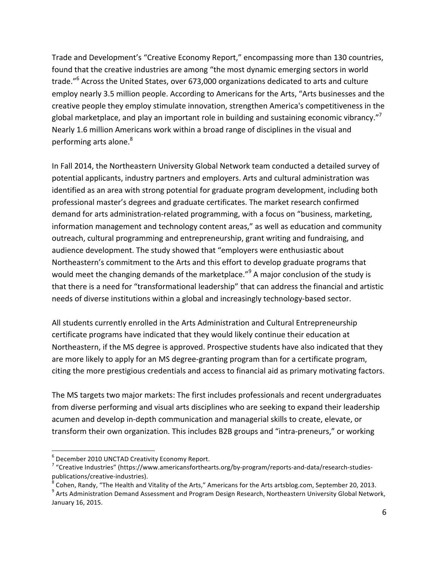Trade and Development's "Creative Economy Report," encompassing more than 130 countries, found that the creative industries are among "the most dynamic emerging sectors in world trade."<sup>6</sup> Across the United States, over 673,000 organizations dedicated to arts and culture employ nearly 3.5 million people. According to Americans for the Arts, "Arts businesses and the creative people they employ stimulate innovation, strengthen America's competitiveness in the global marketplace, and play an important role in building and sustaining economic vibrancy."<sup>7</sup> Nearly 1.6 million Americans work within a broad range of disciplines in the visual and performing arts alone.<sup>8</sup>

In Fall 2014, the Northeastern University Global Network team conducted a detailed survey of potential applicants, industry partners and employers. Arts and cultural administration was identified as an area with strong potential for graduate program development, including both professional master's degrees and graduate certificates. The market research confirmed demand for arts administration-related programming, with a focus on "business, marketing, information management and technology content areas," as well as education and community outreach, cultural programming and entrepreneurship, grant writing and fundraising, and audience development. The study showed that "employers were enthusiastic about Northeastern's commitment to the Arts and this effort to develop graduate programs that would meet the changing demands of the marketplace."<sup>9</sup> A major conclusion of the study is that there is a need for "transformational leadership" that can address the financial and artistic needs of diverse institutions within a global and increasingly technology-based sector.

All students currently enrolled in the Arts Administration and Cultural Entrepreneurship certificate programs have indicated that they would likely continue their education at Northeastern, if the MS degree is approved. Prospective students have also indicated that they are more likely to apply for an MS degree-granting program than for a certificate program, citing the more prestigious credentials and access to financial aid as primary motivating factors.

The MS targets two major markets: The first includes professionals and recent undergraduates from diverse performing and visual arts disciplines who are seeking to expand their leadership acumen and develop in-depth communication and managerial skills to create, elevate, or transform their own organization. This includes B2B groups and "intra-preneurs," or working

 $6$  December 2010 UNCTAD Creativity Economy Report.

 $7$  "Creative Industries" (https://www.americansforthearts.org/by-program/reports-and-data/research-studiespublications/creative-industries).<br><sup>8</sup> Cohen, Randy, "The Health and Vitality of the Arts," Americans for the Arts artsblog.com, September 20, 2013.<br><sup>9</sup> Arts Administration Demand Assessment and Program Design Research, No

January 16, 2015.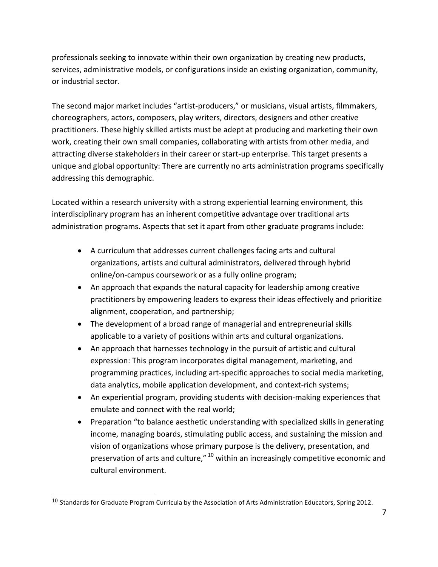professionals seeking to innovate within their own organization by creating new products, services, administrative models, or configurations inside an existing organization, community, or industrial sector.

The second major market includes "artist-producers," or musicians, visual artists, filmmakers, choreographers, actors, composers, play writers, directors, designers and other creative practitioners. These highly skilled artists must be adept at producing and marketing their own work, creating their own small companies, collaborating with artists from other media, and attracting diverse stakeholders in their career or start-up enterprise. This target presents a unique and global opportunity: There are currently no arts administration programs specifically addressing this demographic.

Located within a research university with a strong experiential learning environment, this interdisciplinary program has an inherent competitive advantage over traditional arts administration programs. Aspects that set it apart from other graduate programs include:

- A curriculum that addresses current challenges facing arts and cultural organizations, artists and cultural administrators, delivered through hybrid online/on-campus coursework or as a fully online program;
- An approach that expands the natural capacity for leadership among creative practitioners by empowering leaders to express their ideas effectively and prioritize alignment, cooperation, and partnership;
- The development of a broad range of managerial and entrepreneurial skills applicable to a variety of positions within arts and cultural organizations.
- An approach that harnesses technology in the pursuit of artistic and cultural expression: This program incorporates digital management, marketing, and programming practices, including art-specific approaches to social media marketing, data analytics, mobile application development, and context-rich systems;
- An experiential program, providing students with decision-making experiences that emulate and connect with the real world;
- Preparation "to balance aesthetic understanding with specialized skills in generating income, managing boards, stimulating public access, and sustaining the mission and vision of organizations whose primary purpose is the delivery, presentation, and preservation of arts and culture,"  $^{10}$  within an increasingly competitive economic and cultural environment.

 $\overline{a}$ 

 $10$  Standards for Graduate Program Curricula by the Association of Arts Administration Educators, Spring 2012.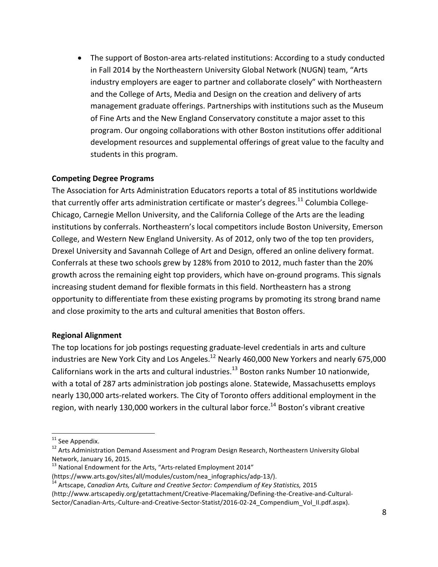• The support of Boston-area arts-related institutions: According to a study conducted in Fall 2014 by the Northeastern University Global Network (NUGN) team, "Arts industry employers are eager to partner and collaborate closely" with Northeastern and the College of Arts, Media and Design on the creation and delivery of arts management graduate offerings. Partnerships with institutions such as the Museum of Fine Arts and the New England Conservatory constitute a major asset to this program. Our ongoing collaborations with other Boston institutions offer additional development resources and supplemental offerings of great value to the faculty and students in this program.

#### **Competing Degree Programs**

The Association for Arts Administration Educators reports a total of 85 institutions worldwide that currently offer arts administration certificate or master's degrees. $^{11}$  Columbia College-Chicago, Carnegie Mellon University, and the California College of the Arts are the leading institutions by conferrals. Northeastern's local competitors include Boston University, Emerson College, and Western New England University. As of 2012, only two of the top ten providers, Drexel University and Savannah College of Art and Design, offered an online delivery format. Conferrals at these two schools grew by 128% from 2010 to 2012, much faster than the 20% growth across the remaining eight top providers, which have on-ground programs. This signals increasing student demand for flexible formats in this field. Northeastern has a strong opportunity to differentiate from these existing programs by promoting its strong brand name and close proximity to the arts and cultural amenities that Boston offers.

#### **Regional Alignment**

The top locations for job postings requesting graduate-level credentials in arts and culture industries are New York City and Los Angeles.<sup>12</sup> Nearly 460,000 New Yorkers and nearly 675,000 Californians work in the arts and cultural industries.<sup>13</sup> Boston ranks Number 10 nationwide, with a total of 287 arts administration job postings alone. Statewide, Massachusetts employs nearly 130,000 arts-related workers. The City of Toronto offers additional employment in the region, with nearly 130,000 workers in the cultural labor force.<sup>14</sup> Boston's vibrant creative

<sup>&</sup>lt;sup>11</sup> See Appendix.<br><sup>12</sup> Arts Administration Demand Assessment and Program Design Research, Northeastern University Global Network, January 16, 2015.<br> $13$  National Endowment for the Arts, "Arts-related Employment 2014"

<sup>(</sup>https://www.arts.gov/sites/all/modules/custom/nea\_infographics/adp-13/).<br><sup>14</sup> Artscape, *Canadian Arts, Culture and Creative Sector: Compendium of Key Statistics, 2015* (http://www.artscapediy.org/getattachment/Creative-Placemaking/Defining-the-Creative-and-Cultural-Sector/Canadian-Arts,-Culture-and-Creative-Sector-Statist/2016-02-24 Compendium Vol II.pdf.aspx).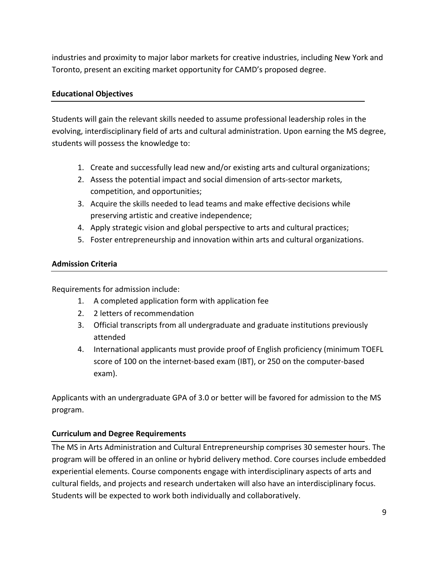industries and proximity to major labor markets for creative industries, including New York and Toronto, present an exciting market opportunity for CAMD's proposed degree.

## **Educational Objectives**

Students will gain the relevant skills needed to assume professional leadership roles in the evolving, interdisciplinary field of arts and cultural administration. Upon earning the MS degree, students will possess the knowledge to:

- 1. Create and successfully lead new and/or existing arts and cultural organizations;
- 2. Assess the potential impact and social dimension of arts-sector markets, competition, and opportunities;
- 3. Acquire the skills needed to lead teams and make effective decisions while preserving artistic and creative independence;
- 4. Apply strategic vision and global perspective to arts and cultural practices;
- 5. Foster entrepreneurship and innovation within arts and cultural organizations.

## **Admission Criteria**

Requirements for admission include:

- 1. A completed application form with application fee
- 2. 2 letters of recommendation
- 3. Official transcripts from all undergraduate and graduate institutions previously attended
- 4. International applicants must provide proof of English proficiency (minimum TOEFL score of 100 on the internet-based exam (IBT), or 250 on the computer-based exam).

Applicants with an undergraduate GPA of 3.0 or better will be favored for admission to the MS program.

## **Curriculum and Degree Requirements**

The MS in Arts Administration and Cultural Entrepreneurship comprises 30 semester hours. The program will be offered in an online or hybrid delivery method. Core courses include embedded experiential elements. Course components engage with interdisciplinary aspects of arts and cultural fields, and projects and research undertaken will also have an interdisciplinary focus. Students will be expected to work both individually and collaboratively.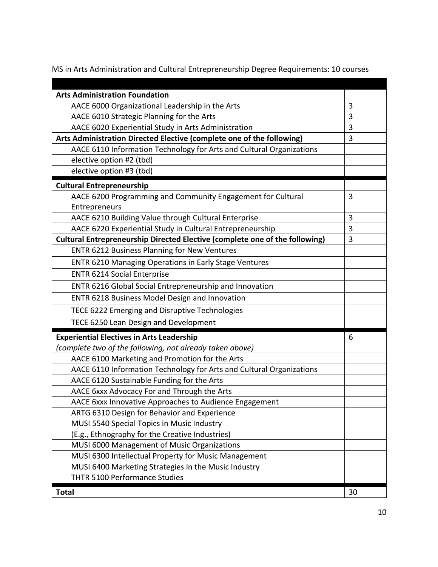MS in Arts Administration and Cultural Entrepreneurship Degree Requirements: 10 courses

| <b>Arts Administration Foundation</b>                                                                                        |        |
|------------------------------------------------------------------------------------------------------------------------------|--------|
| AACE 6000 Organizational Leadership in the Arts                                                                              | 3<br>3 |
| AACE 6010 Strategic Planning for the Arts                                                                                    | 3      |
| AACE 6020 Experiential Study in Arts Administration<br>Arts Administration Directed Elective (complete one of the following) | 3      |
| AACE 6110 Information Technology for Arts and Cultural Organizations                                                         |        |
| elective option #2 (tbd)                                                                                                     |        |
| elective option #3 (tbd)                                                                                                     |        |
| <b>Cultural Entrepreneurship</b>                                                                                             |        |
| AACE 6200 Programming and Community Engagement for Cultural                                                                  | 3      |
| Entrepreneurs                                                                                                                |        |
| AACE 6210 Building Value through Cultural Enterprise                                                                         | 3      |
| AACE 6220 Experiential Study in Cultural Entrepreneurship                                                                    | 3      |
| Cultural Entrepreneurship Directed Elective (complete one of the following)                                                  | 3      |
| ENTR 6212 Business Planning for New Ventures                                                                                 |        |
| <b>ENTR 6210 Managing Operations in Early Stage Ventures</b>                                                                 |        |
| <b>ENTR 6214 Social Enterprise</b>                                                                                           |        |
| ENTR 6216 Global Social Entrepreneurship and Innovation                                                                      |        |
| ENTR 6218 Business Model Design and Innovation                                                                               |        |
| TECE 6222 Emerging and Disruptive Technologies                                                                               |        |
| TECE 6250 Lean Design and Development                                                                                        |        |
| <b>Experiential Electives in Arts Leadership</b>                                                                             | 6      |
| (complete two of the following, not already taken above)                                                                     |        |
| AACE 6100 Marketing and Promotion for the Arts                                                                               |        |
| AACE 6110 Information Technology for Arts and Cultural Organizations                                                         |        |
| AACE 6120 Sustainable Funding for the Arts                                                                                   |        |
| AACE 6xxx Advocacy For and Through the Arts                                                                                  |        |
| AACE 6xxx Innovative Approaches to Audience Engagement                                                                       |        |
| ARTG 6310 Design for Behavior and Experience                                                                                 |        |
| MUSI 5540 Special Topics in Music Industry                                                                                   |        |
| (E.g., Ethnography for the Creative Industries)                                                                              |        |
| MUSI 6000 Management of Music Organizations                                                                                  |        |
| MUSI 6300 Intellectual Property for Music Management                                                                         |        |
| MUSI 6400 Marketing Strategies in the Music Industry                                                                         |        |
| THTR 5100 Performance Studies                                                                                                |        |
| <b>Total</b>                                                                                                                 | 30     |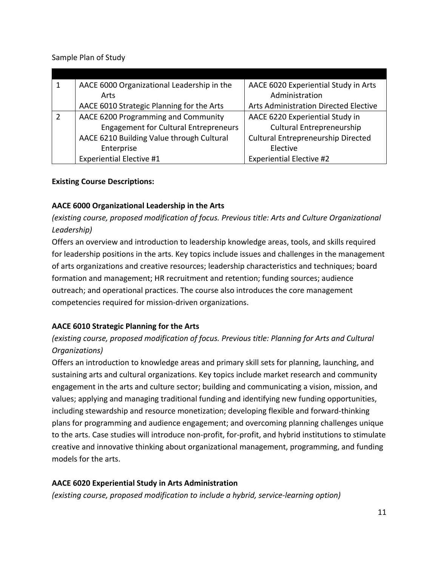Sample Plan of Study

| AACE 6000 Organizational Leadership in the   | AACE 6020 Experiential Study in Arts         |
|----------------------------------------------|----------------------------------------------|
| Arts                                         | Administration                               |
| AACE 6010 Strategic Planning for the Arts    | <b>Arts Administration Directed Elective</b> |
| AACE 6200 Programming and Community          | AACE 6220 Experiential Study in              |
| <b>Engagement for Cultural Entrepreneurs</b> | <b>Cultural Entrepreneurship</b>             |
| AACE 6210 Building Value through Cultural    | <b>Cultural Entrepreneurship Directed</b>    |
| Enterprise                                   | Elective                                     |
| <b>Experiential Elective #1</b>              | <b>Experiential Elective #2</b>              |

#### **Existing Course Descriptions:**

## **AACE 6000 Organizational Leadership in the Arts**

*(existing course, proposed modification of focus. Previous title: Arts and Culture Organizational Leadership)*

Offers an overview and introduction to leadership knowledge areas, tools, and skills required for leadership positions in the arts. Key topics include issues and challenges in the management of arts organizations and creative resources; leadership characteristics and techniques; board formation and management; HR recruitment and retention; funding sources; audience outreach; and operational practices. The course also introduces the core management competencies required for mission-driven organizations.

## **AACE 6010 Strategic Planning for the Arts**

## *(existing course, proposed modification of focus. Previous title: Planning for Arts and Cultural Organizations)*

Offers an introduction to knowledge areas and primary skill sets for planning, launching, and sustaining arts and cultural organizations. Key topics include market research and community engagement in the arts and culture sector; building and communicating a vision, mission, and values; applying and managing traditional funding and identifying new funding opportunities, including stewardship and resource monetization; developing flexible and forward-thinking plans for programming and audience engagement; and overcoming planning challenges unique to the arts. Case studies will introduce non-profit, for-profit, and hybrid institutions to stimulate creative and innovative thinking about organizational management, programming, and funding models for the arts.

## **AACE 6020 Experiential Study in Arts Administration**

*(existing course, proposed modification to include a hybrid, service-learning option)*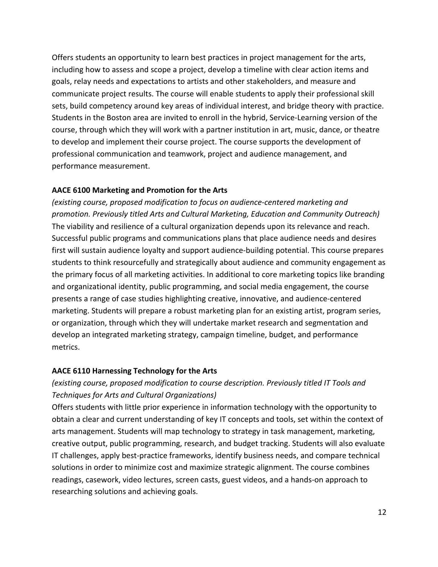Offers students an opportunity to learn best practices in project management for the arts, including how to assess and scope a project, develop a timeline with clear action items and goals, relay needs and expectations to artists and other stakeholders, and measure and communicate project results. The course will enable students to apply their professional skill sets, build competency around key areas of individual interest, and bridge theory with practice. Students in the Boston area are invited to enroll in the hybrid, Service-Learning version of the course, through which they will work with a partner institution in art, music, dance, or theatre to develop and implement their course project. The course supports the development of professional communication and teamwork, project and audience management, and performance measurement.

#### **AACE 6100 Marketing and Promotion for the Arts**

*(existing course, proposed modification to focus on audience-centered marketing and promotion. Previously titled Arts and Cultural Marketing, Education and Community Outreach)* The viability and resilience of a cultural organization depends upon its relevance and reach. Successful public programs and communications plans that place audience needs and desires first will sustain audience loyalty and support audience-building potential. This course prepares students to think resourcefully and strategically about audience and community engagement as the primary focus of all marketing activities. In additional to core marketing topics like branding and organizational identity, public programming, and social media engagement, the course presents a range of case studies highlighting creative, innovative, and audience-centered marketing. Students will prepare a robust marketing plan for an existing artist, program series, or organization, through which they will undertake market research and segmentation and develop an integrated marketing strategy, campaign timeline, budget, and performance metrics. 

#### **AACE 6110 Harnessing Technology for the Arts**

## *(existing course, proposed modification to course description. Previously titled IT Tools and Techniques for Arts and Cultural Organizations)*

Offers students with little prior experience in information technology with the opportunity to obtain a clear and current understanding of key IT concepts and tools, set within the context of arts management. Students will map technology to strategy in task management, marketing, creative output, public programming, research, and budget tracking. Students will also evaluate IT challenges, apply best-practice frameworks, identify business needs, and compare technical solutions in order to minimize cost and maximize strategic alignment. The course combines readings, casework, video lectures, screen casts, guest videos, and a hands-on approach to researching solutions and achieving goals.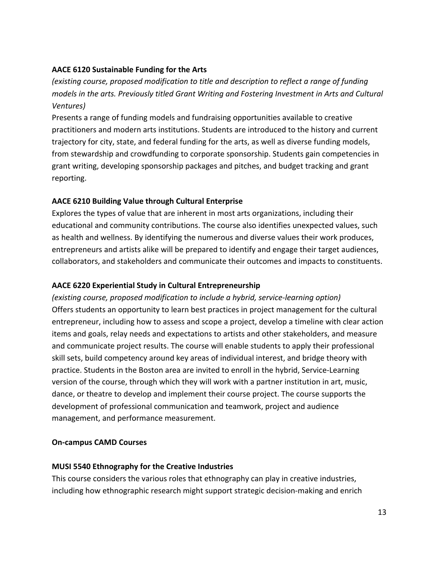#### **AACE 6120 Sustainable Funding for the Arts**

*(existing course, proposed modification to title and description to reflect a range of funding models in the arts. Previously titled Grant Writing and Fostering Investment in Arts and Cultural Ventures)*

Presents a range of funding models and fundraising opportunities available to creative practitioners and modern arts institutions. Students are introduced to the history and current trajectory for city, state, and federal funding for the arts, as well as diverse funding models, from stewardship and crowdfunding to corporate sponsorship. Students gain competencies in grant writing, developing sponsorship packages and pitches, and budget tracking and grant reporting. 

## **AACE 6210 Building Value through Cultural Enterprise**

Explores the types of value that are inherent in most arts organizations, including their educational and community contributions. The course also identifies unexpected values, such as health and wellness. By identifying the numerous and diverse values their work produces, entrepreneurs and artists alike will be prepared to identify and engage their target audiences, collaborators, and stakeholders and communicate their outcomes and impacts to constituents.

## **AACE 6220 Experiential Study in Cultural Entrepreneurship**

*(existing course, proposed modification to include a hybrid, service-learning option)* Offers students an opportunity to learn best practices in project management for the cultural entrepreneur, including how to assess and scope a project, develop a timeline with clear action items and goals, relay needs and expectations to artists and other stakeholders, and measure and communicate project results. The course will enable students to apply their professional skill sets, build competency around key areas of individual interest, and bridge theory with practice. Students in the Boston area are invited to enroll in the hybrid, Service-Learning version of the course, through which they will work with a partner institution in art, music, dance, or theatre to develop and implement their course project. The course supports the development of professional communication and teamwork, project and audience management, and performance measurement.

## **On-campus CAMD Courses**

## **MUSI 5540 Ethnography for the Creative Industries**

This course considers the various roles that ethnography can play in creative industries, including how ethnographic research might support strategic decision-making and enrich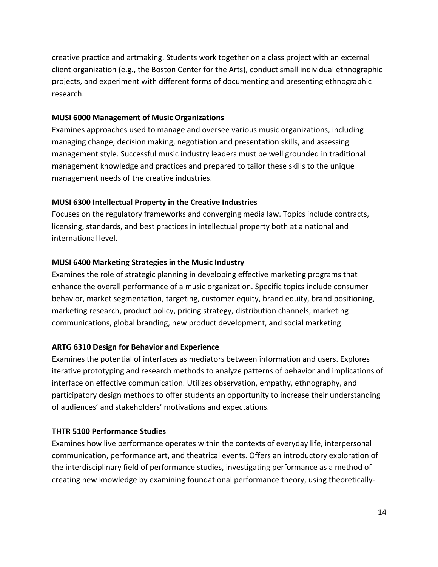creative practice and artmaking. Students work together on a class project with an external client organization (e.g., the Boston Center for the Arts), conduct small individual ethnographic projects, and experiment with different forms of documenting and presenting ethnographic research. 

#### **MUSI 6000 Management of Music Organizations**

Examines approaches used to manage and oversee various music organizations, including managing change, decision making, negotiation and presentation skills, and assessing management style. Successful music industry leaders must be well grounded in traditional management knowledge and practices and prepared to tailor these skills to the unique management needs of the creative industries.

## **MUSI 6300 Intellectual Property in the Creative Industries**

Focuses on the regulatory frameworks and converging media law. Topics include contracts, licensing, standards, and best practices in intellectual property both at a national and international level.

## **MUSI 6400 Marketing Strategies in the Music Industry**

Examines the role of strategic planning in developing effective marketing programs that enhance the overall performance of a music organization. Specific topics include consumer behavior, market segmentation, targeting, customer equity, brand equity, brand positioning, marketing research, product policy, pricing strategy, distribution channels, marketing communications, global branding, new product development, and social marketing.

## **ARTG 6310 Design for Behavior and Experience**

Examines the potential of interfaces as mediators between information and users. Explores iterative prototyping and research methods to analyze patterns of behavior and implications of interface on effective communication. Utilizes observation, empathy, ethnography, and participatory design methods to offer students an opportunity to increase their understanding of audiences' and stakeholders' motivations and expectations.

## **THTR 5100 Performance Studies**

Examines how live performance operates within the contexts of everyday life, interpersonal communication, performance art, and theatrical events. Offers an introductory exploration of the interdisciplinary field of performance studies, investigating performance as a method of creating new knowledge by examining foundational performance theory, using theoretically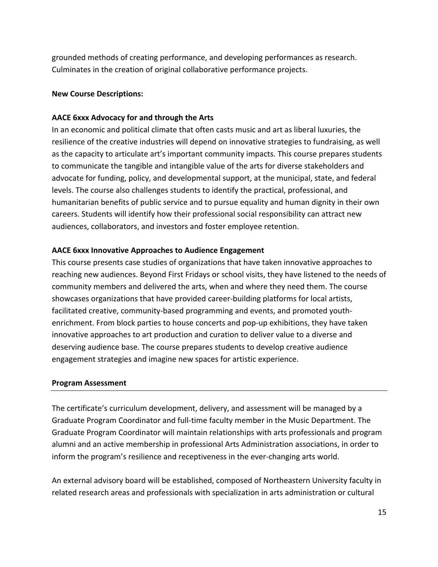grounded methods of creating performance, and developing performances as research. Culminates in the creation of original collaborative performance projects.

#### **New Course Descriptions:**

#### **AACE 6xxx Advocacy for and through the Arts**

In an economic and political climate that often casts music and art as liberal luxuries, the resilience of the creative industries will depend on innovative strategies to fundraising, as well as the capacity to articulate art's important community impacts. This course prepares students to communicate the tangible and intangible value of the arts for diverse stakeholders and advocate for funding, policy, and developmental support, at the municipal, state, and federal levels. The course also challenges students to identify the practical, professional, and humanitarian benefits of public service and to pursue equality and human dignity in their own careers. Students will identify how their professional social responsibility can attract new audiences, collaborators, and investors and foster employee retention.

#### **AACE 6xxx Innovative Approaches to Audience Engagement**

This course presents case studies of organizations that have taken innovative approaches to reaching new audiences. Beyond First Fridays or school visits, they have listened to the needs of community members and delivered the arts, when and where they need them. The course showcases organizations that have provided career-building platforms for local artists, facilitated creative, community-based programming and events, and promoted youthenrichment. From block parties to house concerts and pop-up exhibitions, they have taken innovative approaches to art production and curation to deliver value to a diverse and deserving audience base. The course prepares students to develop creative audience engagement strategies and imagine new spaces for artistic experience.

#### **Program Assessment**

The certificate's curriculum development, delivery, and assessment will be managed by a Graduate Program Coordinator and full-time faculty member in the Music Department. The Graduate Program Coordinator will maintain relationships with arts professionals and program alumni and an active membership in professional Arts Administration associations, in order to inform the program's resilience and receptiveness in the ever-changing arts world.

An external advisory board will be established, composed of Northeastern University faculty in related research areas and professionals with specialization in arts administration or cultural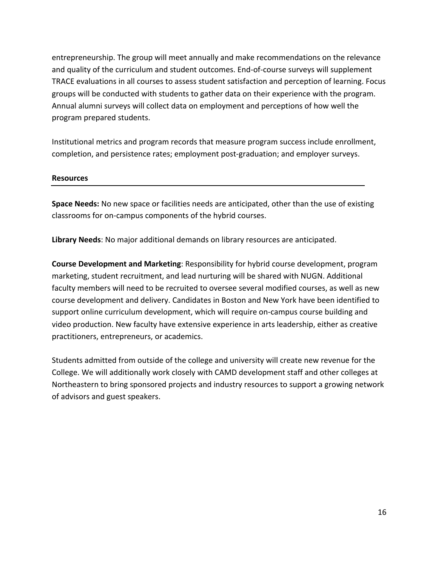entrepreneurship. The group will meet annually and make recommendations on the relevance and quality of the curriculum and student outcomes. End-of-course surveys will supplement TRACE evaluations in all courses to assess student satisfaction and perception of learning. Focus groups will be conducted with students to gather data on their experience with the program. Annual alumni surveys will collect data on employment and perceptions of how well the program prepared students.

Institutional metrics and program records that measure program success include enrollment, completion, and persistence rates; employment post-graduation; and employer surveys.

#### **Resources**

**Space Needs:** No new space or facilities needs are anticipated, other than the use of existing classrooms for on-campus components of the hybrid courses.

**Library Needs**: No major additional demands on library resources are anticipated.

**Course Development and Marketing**: Responsibility for hybrid course development, program marketing, student recruitment, and lead nurturing will be shared with NUGN. Additional faculty members will need to be recruited to oversee several modified courses, as well as new course development and delivery. Candidates in Boston and New York have been identified to support online curriculum development, which will require on-campus course building and video production. New faculty have extensive experience in arts leadership, either as creative practitioners, entrepreneurs, or academics.

Students admitted from outside of the college and university will create new revenue for the College. We will additionally work closely with CAMD development staff and other colleges at Northeastern to bring sponsored projects and industry resources to support a growing network of advisors and guest speakers.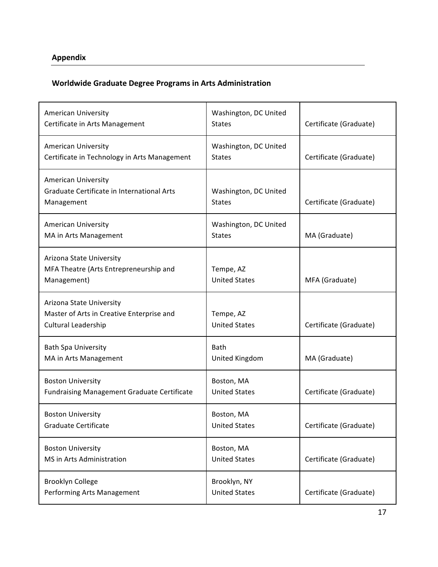# **Appendix**

## **Worldwide Graduate Degree Programs in Arts Administration**

| <b>American University</b><br>Certificate in Arts Management                                        | Washington, DC United<br><b>States</b> | Certificate (Graduate) |
|-----------------------------------------------------------------------------------------------------|----------------------------------------|------------------------|
| <b>American University</b><br>Certificate in Technology in Arts Management                          | Washington, DC United<br><b>States</b> | Certificate (Graduate) |
| <b>American University</b><br><b>Graduate Certificate in International Arts</b><br>Management       | Washington, DC United<br><b>States</b> | Certificate (Graduate) |
| <b>American University</b><br>MA in Arts Management                                                 | Washington, DC United<br><b>States</b> | MA (Graduate)          |
| Arizona State University<br>MFA Theatre (Arts Entrepreneurship and<br>Management)                   | Tempe, AZ<br><b>United States</b>      | MFA (Graduate)         |
| Arizona State University<br>Master of Arts in Creative Enterprise and<br><b>Cultural Leadership</b> | Tempe, AZ<br><b>United States</b>      | Certificate (Graduate) |
| <b>Bath Spa University</b><br>MA in Arts Management                                                 | <b>Bath</b><br>United Kingdom          | MA (Graduate)          |
| <b>Boston University</b><br><b>Fundraising Management Graduate Certificate</b>                      | Boston, MA<br><b>United States</b>     | Certificate (Graduate) |
| <b>Boston University</b><br>Graduate Certificate                                                    | Boston, MA<br><b>United States</b>     | Certificate (Graduate) |
| <b>Boston University</b><br>MS in Arts Administration                                               | Boston, MA<br><b>United States</b>     | Certificate (Graduate) |
| <b>Brooklyn College</b><br>Performing Arts Management                                               | Brooklyn, NY<br><b>United States</b>   | Certificate (Graduate) |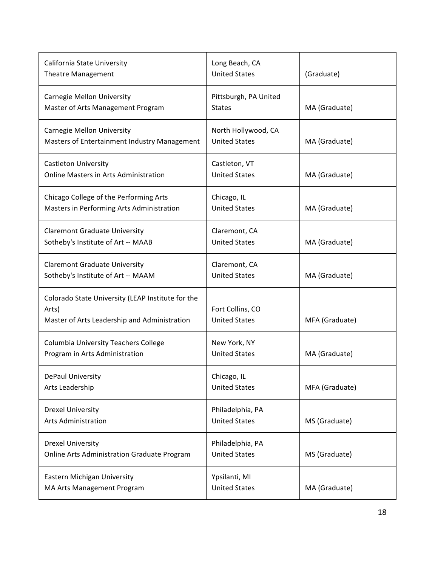| California State University<br><b>Theatre Management</b>                                                   | Long Beach, CA<br><b>United States</b>      | (Graduate)     |
|------------------------------------------------------------------------------------------------------------|---------------------------------------------|----------------|
| Carnegie Mellon University<br>Master of Arts Management Program                                            | Pittsburgh, PA United<br><b>States</b>      | MA (Graduate)  |
| <b>Carnegie Mellon University</b><br>Masters of Entertainment Industry Management                          | North Hollywood, CA<br><b>United States</b> | MA (Graduate)  |
| <b>Castleton University</b><br>Online Masters in Arts Administration                                       | Castleton, VT<br><b>United States</b>       | MA (Graduate)  |
| Chicago College of the Performing Arts<br>Masters in Performing Arts Administration                        | Chicago, IL<br><b>United States</b>         | MA (Graduate)  |
| <b>Claremont Graduate University</b><br>Sotheby's Institute of Art -- MAAB                                 | Claremont, CA<br><b>United States</b>       | MA (Graduate)  |
| <b>Claremont Graduate University</b><br>Sotheby's Institute of Art -- MAAM                                 | Claremont, CA<br><b>United States</b>       | MA (Graduate)  |
| Colorado State University (LEAP Institute for the<br>Arts)<br>Master of Arts Leadership and Administration | Fort Collins, CO<br><b>United States</b>    | MFA (Graduate) |
| <b>Columbia University Teachers College</b><br>Program in Arts Administration                              | New York, NY<br><b>United States</b>        | MA (Graduate)  |
| DePaul University<br>Arts Leadership                                                                       | Chicago, IL<br><b>United States</b>         | MFA (Graduate) |
| <b>Drexel University</b><br><b>Arts Administration</b>                                                     | Philadelphia, PA<br><b>United States</b>    | MS (Graduate)  |
| <b>Drexel University</b><br>Online Arts Administration Graduate Program                                    | Philadelphia, PA<br><b>United States</b>    | MS (Graduate)  |
| Eastern Michigan University<br>MA Arts Management Program                                                  | Ypsilanti, MI<br><b>United States</b>       | MA (Graduate)  |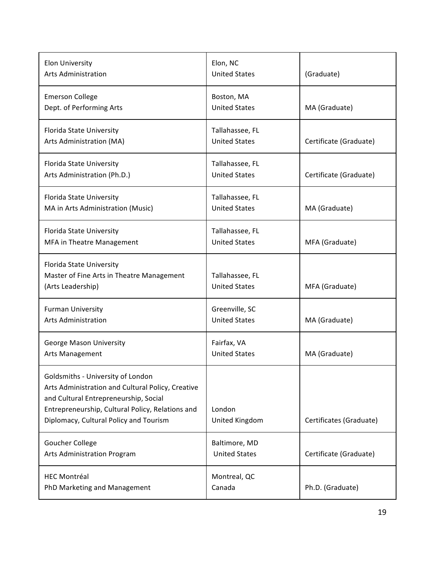| <b>Elon University</b><br><b>Arts Administration</b>                                                                                                                                                                          | Elon, NC<br><b>United States</b>        | (Graduate)              |
|-------------------------------------------------------------------------------------------------------------------------------------------------------------------------------------------------------------------------------|-----------------------------------------|-------------------------|
| <b>Emerson College</b><br>Dept. of Performing Arts                                                                                                                                                                            | Boston, MA<br><b>United States</b>      | MA (Graduate)           |
| Florida State University<br>Arts Administration (MA)                                                                                                                                                                          | Tallahassee, FL<br><b>United States</b> | Certificate (Graduate)  |
| Florida State University<br>Arts Administration (Ph.D.)                                                                                                                                                                       | Tallahassee, FL<br><b>United States</b> | Certificate (Graduate)  |
| Florida State University<br>MA in Arts Administration (Music)                                                                                                                                                                 | Tallahassee, FL<br><b>United States</b> | MA (Graduate)           |
| Florida State University<br>MFA in Theatre Management                                                                                                                                                                         | Tallahassee, FL<br><b>United States</b> | MFA (Graduate)          |
| Florida State University<br>Master of Fine Arts in Theatre Management<br>(Arts Leadership)                                                                                                                                    | Tallahassee, FL<br><b>United States</b> | MFA (Graduate)          |
| <b>Furman University</b><br><b>Arts Administration</b>                                                                                                                                                                        | Greenville, SC<br><b>United States</b>  | MA (Graduate)           |
| <b>George Mason University</b><br>Arts Management                                                                                                                                                                             | Fairfax, VA<br><b>United States</b>     | MA (Graduate)           |
| Goldsmiths - University of London<br>Arts Administration and Cultural Policy, Creative<br>and Cultural Entrepreneurship, Social<br>Entrepreneurship, Cultural Policy, Relations and<br>Diplomacy, Cultural Policy and Tourism | London<br>United Kingdom                | Certificates (Graduate) |
| Goucher College<br>Arts Administration Program                                                                                                                                                                                | Baltimore, MD<br><b>United States</b>   | Certificate (Graduate)  |
| <b>HEC Montréal</b><br>PhD Marketing and Management                                                                                                                                                                           | Montreal, QC<br>Canada                  | Ph.D. (Graduate)        |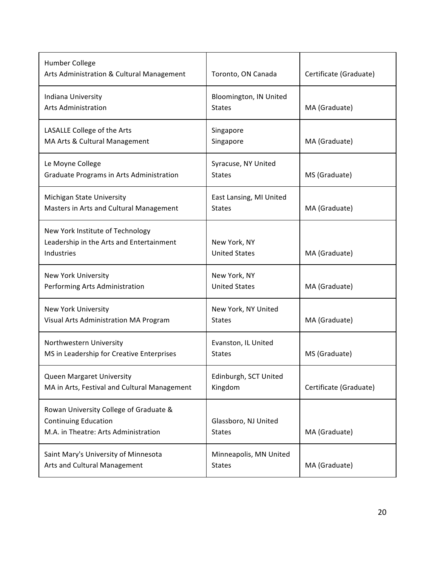| Humber College<br>Arts Administration & Cultural Management                                                   | Toronto, ON Canada                       | Certificate (Graduate) |
|---------------------------------------------------------------------------------------------------------------|------------------------------------------|------------------------|
| Indiana University<br><b>Arts Administration</b>                                                              | Bloomington, IN United<br><b>States</b>  | MA (Graduate)          |
| LASALLE College of the Arts<br>MA Arts & Cultural Management                                                  | Singapore<br>Singapore                   | MA (Graduate)          |
| Le Moyne College<br>Graduate Programs in Arts Administration                                                  | Syracuse, NY United<br><b>States</b>     | MS (Graduate)          |
| Michigan State University<br>Masters in Arts and Cultural Management                                          | East Lansing, MI United<br><b>States</b> | MA (Graduate)          |
| New York Institute of Technology<br>Leadership in the Arts and Entertainment<br>Industries                    | New York, NY<br><b>United States</b>     | MA (Graduate)          |
| <b>New York University</b><br>Performing Arts Administration                                                  | New York, NY<br><b>United States</b>     | MA (Graduate)          |
| <b>New York University</b><br>Visual Arts Administration MA Program                                           | New York, NY United<br><b>States</b>     | MA (Graduate)          |
| Northwestern University<br>MS in Leadership for Creative Enterprises                                          | Evanston, IL United<br><b>States</b>     | MS (Graduate)          |
| Queen Margaret University<br>MA in Arts, Festival and Cultural Management                                     | Edinburgh, SCT United<br>Kingdom         | Certificate (Graduate) |
| Rowan University College of Graduate &<br><b>Continuing Education</b><br>M.A. in Theatre: Arts Administration | Glassboro, NJ United<br><b>States</b>    | MA (Graduate)          |
| Saint Mary's University of Minnesota<br>Arts and Cultural Management                                          | Minneapolis, MN United<br><b>States</b>  | MA (Graduate)          |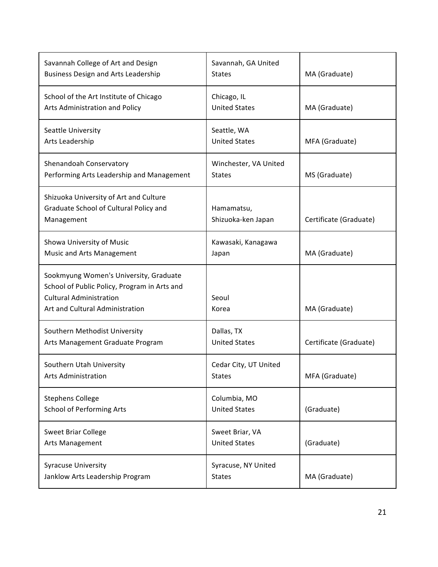| Savannah College of Art and Design<br><b>Business Design and Arts Leadership</b>                                                                            | Savannah, GA United<br><b>States</b>    | MA (Graduate)          |
|-------------------------------------------------------------------------------------------------------------------------------------------------------------|-----------------------------------------|------------------------|
| School of the Art Institute of Chicago<br>Arts Administration and Policy                                                                                    | Chicago, IL<br><b>United States</b>     | MA (Graduate)          |
| Seattle University<br>Arts Leadership                                                                                                                       | Seattle, WA<br><b>United States</b>     | MFA (Graduate)         |
| Shenandoah Conservatory<br>Performing Arts Leadership and Management                                                                                        | Winchester, VA United<br><b>States</b>  | MS (Graduate)          |
| Shizuoka University of Art and Culture<br>Graduate School of Cultural Policy and<br>Management                                                              | Hamamatsu,<br>Shizuoka-ken Japan        | Certificate (Graduate) |
| Showa University of Music<br><b>Music and Arts Management</b>                                                                                               | Kawasaki, Kanagawa<br>Japan             | MA (Graduate)          |
| Sookmyung Women's University, Graduate<br>School of Public Policy, Program in Arts and<br><b>Cultural Administration</b><br>Art and Cultural Administration | Seoul<br>Korea                          | MA (Graduate)          |
| Southern Methodist University<br>Arts Management Graduate Program                                                                                           | Dallas, TX<br><b>United States</b>      | Certificate (Graduate) |
| Southern Utah University<br><b>Arts Administration</b>                                                                                                      | Cedar City, UT United<br><b>States</b>  | MFA (Graduate)         |
| <b>Stephens College</b><br><b>School of Performing Arts</b>                                                                                                 | Columbia, MO<br><b>United States</b>    | (Graduate)             |
| <b>Sweet Briar College</b><br>Arts Management                                                                                                               | Sweet Briar, VA<br><b>United States</b> | (Graduate)             |
| <b>Syracuse University</b><br>Janklow Arts Leadership Program                                                                                               | Syracuse, NY United<br><b>States</b>    | MA (Graduate)          |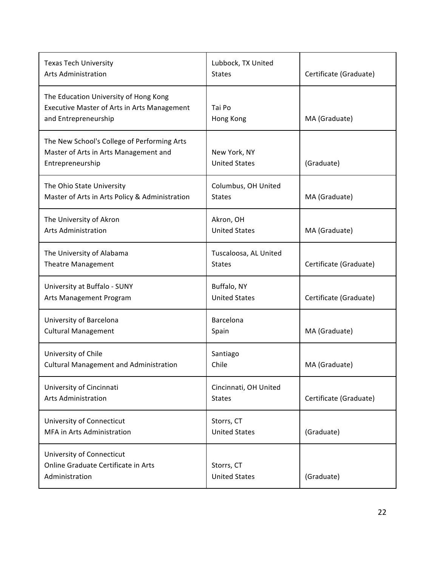| <b>Texas Tech University</b><br><b>Arts Administration</b>                                                          | Lubbock, TX United<br><b>States</b>    | Certificate (Graduate) |
|---------------------------------------------------------------------------------------------------------------------|----------------------------------------|------------------------|
| The Education University of Hong Kong<br><b>Executive Master of Arts in Arts Management</b><br>and Entrepreneurship | Tai Po<br>Hong Kong                    | MA (Graduate)          |
| The New School's College of Performing Arts<br>Master of Arts in Arts Management and<br>Entrepreneurship            | New York, NY<br><b>United States</b>   | (Graduate)             |
| The Ohio State University<br>Master of Arts in Arts Policy & Administration                                         | Columbus, OH United<br><b>States</b>   | MA (Graduate)          |
| The University of Akron<br><b>Arts Administration</b>                                                               | Akron, OH<br><b>United States</b>      | MA (Graduate)          |
| The University of Alabama<br><b>Theatre Management</b>                                                              | Tuscaloosa, AL United<br><b>States</b> | Certificate (Graduate) |
| University at Buffalo - SUNY<br>Arts Management Program                                                             | Buffalo, NY<br><b>United States</b>    | Certificate (Graduate) |
| University of Barcelona<br><b>Cultural Management</b>                                                               | Barcelona<br>Spain                     | MA (Graduate)          |
| University of Chile<br><b>Cultural Management and Administration</b>                                                | Santiago<br>Chile                      | MA (Graduate)          |
| University of Cincinnati<br><b>Arts Administration</b>                                                              | Cincinnati, OH United<br><b>States</b> | Certificate (Graduate) |
| University of Connecticut<br>MFA in Arts Administration                                                             | Storrs, CT<br><b>United States</b>     | (Graduate)             |
| University of Connecticut<br>Online Graduate Certificate in Arts<br>Administration                                  | Storrs, CT<br><b>United States</b>     | (Graduate)             |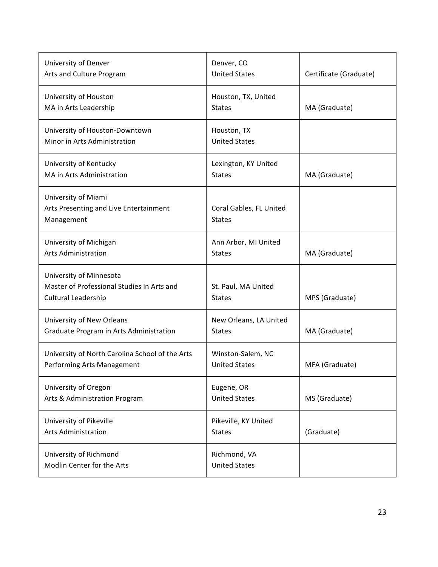| University of Denver<br>Arts and Culture Program                                             | Denver, CO<br><b>United States</b>        | Certificate (Graduate) |
|----------------------------------------------------------------------------------------------|-------------------------------------------|------------------------|
| University of Houston<br>MA in Arts Leadership                                               | Houston, TX, United<br><b>States</b>      | MA (Graduate)          |
| University of Houston-Downtown<br>Minor in Arts Administration                               | Houston, TX<br><b>United States</b>       |                        |
| University of Kentucky<br>MA in Arts Administration                                          | Lexington, KY United<br><b>States</b>     | MA (Graduate)          |
| University of Miami<br>Arts Presenting and Live Entertainment<br>Management                  | Coral Gables, FL United<br><b>States</b>  |                        |
| University of Michigan<br><b>Arts Administration</b>                                         | Ann Arbor, MI United<br><b>States</b>     | MA (Graduate)          |
| University of Minnesota<br>Master of Professional Studies in Arts and<br>Cultural Leadership | St. Paul, MA United<br><b>States</b>      | MPS (Graduate)         |
| University of New Orleans<br>Graduate Program in Arts Administration                         | New Orleans, LA United<br><b>States</b>   | MA (Graduate)          |
| University of North Carolina School of the Arts<br>Performing Arts Management                | Winston-Salem, NC<br><b>United States</b> | MFA (Graduate)         |
| University of Oregon<br>Arts & Administration Program                                        | Eugene, OR<br><b>United States</b>        | MS (Graduate)          |
| University of Pikeville<br><b>Arts Administration</b>                                        | Pikeville, KY United<br><b>States</b>     | (Graduate)             |
| University of Richmond<br>Modlin Center for the Arts                                         | Richmond, VA<br><b>United States</b>      |                        |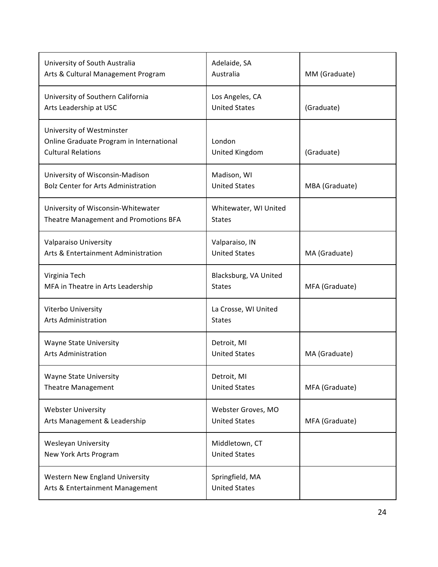| University of South Australia<br>Arts & Cultural Management Program                                | Adelaide, SA<br>Australia                  | MM (Graduate)  |
|----------------------------------------------------------------------------------------------------|--------------------------------------------|----------------|
| University of Southern California<br>Arts Leadership at USC                                        | Los Angeles, CA<br><b>United States</b>    | (Graduate)     |
| University of Westminster<br>Online Graduate Program in International<br><b>Cultural Relations</b> | London<br>United Kingdom                   | (Graduate)     |
| University of Wisconsin-Madison<br><b>Bolz Center for Arts Administration</b>                      | Madison, WI<br><b>United States</b>        | MBA (Graduate) |
| University of Wisconsin-Whitewater<br>Theatre Management and Promotions BFA                        | Whitewater, WI United<br><b>States</b>     |                |
| Valparaiso University<br>Arts & Entertainment Administration                                       | Valparaiso, IN<br><b>United States</b>     | MA (Graduate)  |
| Virginia Tech<br>MFA in Theatre in Arts Leadership                                                 | Blacksburg, VA United<br><b>States</b>     | MFA (Graduate) |
| Viterbo University<br><b>Arts Administration</b>                                                   | La Crosse, WI United<br><b>States</b>      |                |
| <b>Wayne State University</b><br><b>Arts Administration</b>                                        | Detroit, MI<br><b>United States</b>        | MA (Graduate)  |
| <b>Wayne State University</b><br><b>Theatre Management</b>                                         | Detroit, MI<br><b>United States</b>        | MFA (Graduate) |
| <b>Webster University</b><br>Arts Management & Leadership                                          | Webster Groves, MO<br><b>United States</b> | MFA (Graduate) |
| <b>Wesleyan University</b><br>New York Arts Program                                                | Middletown, CT<br><b>United States</b>     |                |
| <b>Western New England University</b><br>Arts & Entertainment Management                           | Springfield, MA<br><b>United States</b>    |                |